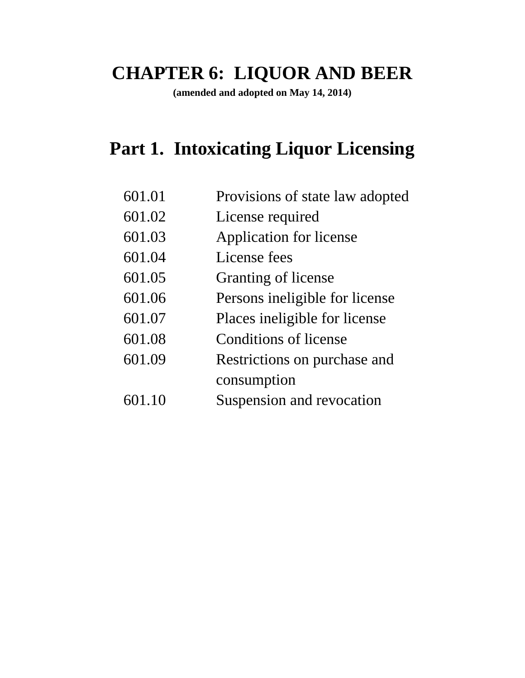# **CHAPTER 6: LIQUOR AND BEER**

**(amended and adopted on May 14, 2014)**

# **Part 1. Intoxicating Liquor Licensing**

| 601.01 | Provisions of state law adopted |
|--------|---------------------------------|
| 601.02 | License required                |
| 601.03 | Application for license         |
| 601.04 | License fees                    |
| 601.05 | <b>Granting of license</b>      |
| 601.06 | Persons ineligible for license  |
| 601.07 | Places ineligible for license   |
| 601.08 | Conditions of license           |
| 601.09 | Restrictions on purchase and    |
|        | consumption                     |
| 601.10 | Suspension and revocation       |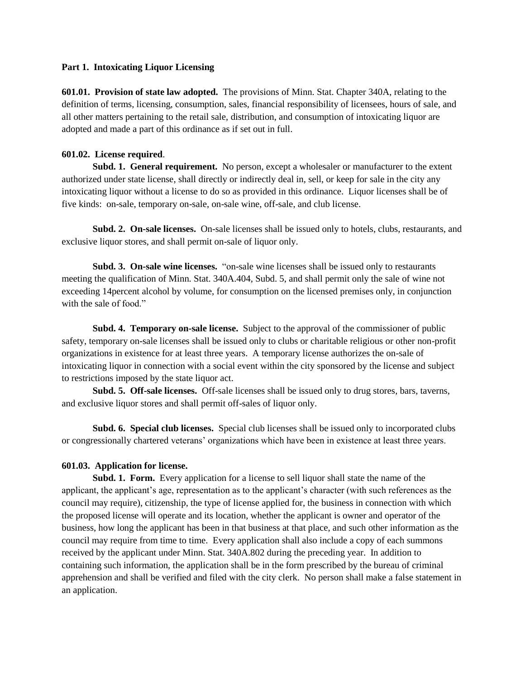#### **Part 1. Intoxicating Liquor Licensing**

**601.01. Provision of state law adopted.** The provisions of Minn. Stat. Chapter 340A, relating to the definition of terms, licensing, consumption, sales, financial responsibility of licensees, hours of sale, and all other matters pertaining to the retail sale, distribution, and consumption of intoxicating liquor are adopted and made a part of this ordinance as if set out in full.

#### **601.02. License required**.

**Subd. 1. General requirement.** No person, except a wholesaler or manufacturer to the extent authorized under state license, shall directly or indirectly deal in, sell, or keep for sale in the city any intoxicating liquor without a license to do so as provided in this ordinance. Liquor licenses shall be of five kinds: on-sale, temporary on-sale, on-sale wine, off-sale, and club license.

**Subd. 2. On-sale licenses.** On-sale licenses shall be issued only to hotels, clubs, restaurants, and exclusive liquor stores, and shall permit on-sale of liquor only.

**Subd. 3. On-sale wine licenses.** "on-sale wine licenses shall be issued only to restaurants meeting the qualification of Minn. Stat. 340A.404, Subd. 5, and shall permit only the sale of wine not exceeding 14percent alcohol by volume, for consumption on the licensed premises only, in conjunction with the sale of food."

**Subd. 4. Temporary on-sale license.** Subject to the approval of the commissioner of public safety, temporary on-sale licenses shall be issued only to clubs or charitable religious or other non-profit organizations in existence for at least three years. A temporary license authorizes the on-sale of intoxicating liquor in connection with a social event within the city sponsored by the license and subject to restrictions imposed by the state liquor act.

**Subd. 5. Off-sale licenses.** Off-sale licenses shall be issued only to drug stores, bars, taverns, and exclusive liquor stores and shall permit off-sales of liquor only.

**Subd. 6. Special club licenses.** Special club licenses shall be issued only to incorporated clubs or congressionally chartered veterans' organizations which have been in existence at least three years.

### **601.03. Application for license.**

**Subd. 1. Form.** Every application for a license to sell liquor shall state the name of the applicant, the applicant's age, representation as to the applicant's character (with such references as the council may require), citizenship, the type of license applied for, the business in connection with which the proposed license will operate and its location, whether the applicant is owner and operator of the business, how long the applicant has been in that business at that place, and such other information as the council may require from time to time. Every application shall also include a copy of each summons received by the applicant under Minn. Stat. 340A.802 during the preceding year. In addition to containing such information, the application shall be in the form prescribed by the bureau of criminal apprehension and shall be verified and filed with the city clerk. No person shall make a false statement in an application.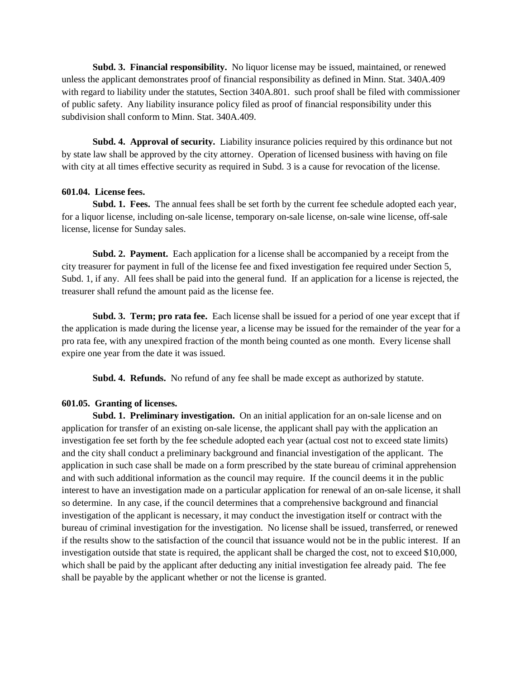**Subd. 3. Financial responsibility.** No liquor license may be issued, maintained, or renewed unless the applicant demonstrates proof of financial responsibility as defined in Minn. Stat. 340A.409 with regard to liability under the statutes, Section 340A.801. such proof shall be filed with commissioner of public safety. Any liability insurance policy filed as proof of financial responsibility under this subdivision shall conform to Minn. Stat. 340A.409.

**Subd. 4. Approval of security.** Liability insurance policies required by this ordinance but not by state law shall be approved by the city attorney. Operation of licensed business with having on file with city at all times effective security as required in Subd. 3 is a cause for revocation of the license.

#### **601.04. License fees.**

**Subd. 1. Fees.** The annual fees shall be set forth by the current fee schedule adopted each year, for a liquor license, including on-sale license, temporary on-sale license, on-sale wine license, off-sale license, license for Sunday sales.

**Subd. 2. Payment.** Each application for a license shall be accompanied by a receipt from the city treasurer for payment in full of the license fee and fixed investigation fee required under Section 5, Subd. 1, if any. All fees shall be paid into the general fund. If an application for a license is rejected, the treasurer shall refund the amount paid as the license fee.

**Subd. 3. Term; pro rata fee.** Each license shall be issued for a period of one year except that if the application is made during the license year, a license may be issued for the remainder of the year for a pro rata fee, with any unexpired fraction of the month being counted as one month. Every license shall expire one year from the date it was issued.

**Subd. 4. Refunds.** No refund of any fee shall be made except as authorized by statute.

#### **601.05. Granting of licenses.**

**Subd. 1. Preliminary investigation.** On an initial application for an on-sale license and on application for transfer of an existing on-sale license, the applicant shall pay with the application an investigation fee set forth by the fee schedule adopted each year (actual cost not to exceed state limits) and the city shall conduct a preliminary background and financial investigation of the applicant. The application in such case shall be made on a form prescribed by the state bureau of criminal apprehension and with such additional information as the council may require. If the council deems it in the public interest to have an investigation made on a particular application for renewal of an on-sale license, it shall so determine. In any case, if the council determines that a comprehensive background and financial investigation of the applicant is necessary, it may conduct the investigation itself or contract with the bureau of criminal investigation for the investigation. No license shall be issued, transferred, or renewed if the results show to the satisfaction of the council that issuance would not be in the public interest. If an investigation outside that state is required, the applicant shall be charged the cost, not to exceed \$10,000, which shall be paid by the applicant after deducting any initial investigation fee already paid. The fee shall be payable by the applicant whether or not the license is granted.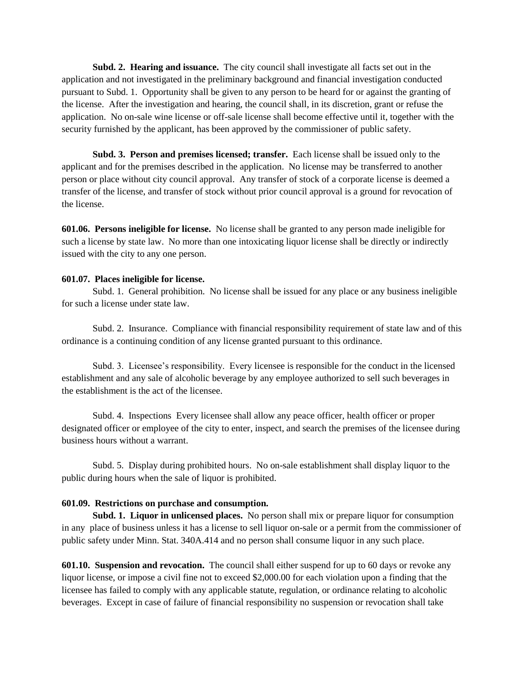**Subd. 2. Hearing and issuance.** The city council shall investigate all facts set out in the application and not investigated in the preliminary background and financial investigation conducted pursuant to Subd. 1. Opportunity shall be given to any person to be heard for or against the granting of the license. After the investigation and hearing, the council shall, in its discretion, grant or refuse the application. No on-sale wine license or off-sale license shall become effective until it, together with the security furnished by the applicant, has been approved by the commissioner of public safety.

**Subd. 3. Person and premises licensed; transfer.** Each license shall be issued only to the applicant and for the premises described in the application. No license may be transferred to another person or place without city council approval. Any transfer of stock of a corporate license is deemed a transfer of the license, and transfer of stock without prior council approval is a ground for revocation of the license.

**601.06. Persons ineligible for license.** No license shall be granted to any person made ineligible for such a license by state law. No more than one intoxicating liquor license shall be directly or indirectly issued with the city to any one person.

#### **601.07. Places ineligible for license.**

Subd. 1. General prohibition. No license shall be issued for any place or any business ineligible for such a license under state law.

Subd. 2. Insurance. Compliance with financial responsibility requirement of state law and of this ordinance is a continuing condition of any license granted pursuant to this ordinance.

Subd. 3. Licensee's responsibility. Every licensee is responsible for the conduct in the licensed establishment and any sale of alcoholic beverage by any employee authorized to sell such beverages in the establishment is the act of the licensee.

Subd. 4. Inspections Every licensee shall allow any peace officer, health officer or proper designated officer or employee of the city to enter, inspect, and search the premises of the licensee during business hours without a warrant.

Subd. 5. Display during prohibited hours. No on-sale establishment shall display liquor to the public during hours when the sale of liquor is prohibited.

# **601.09. Restrictions on purchase and consumption.**

**Subd. 1. Liquor in unlicensed places.** No person shall mix or prepare liquor for consumption in any place of business unless it has a license to sell liquor on-sale or a permit from the commissioner of public safety under Minn. Stat. 340A.414 and no person shall consume liquor in any such place.

**601.10. Suspension and revocation.** The council shall either suspend for up to 60 days or revoke any liquor license, or impose a civil fine not to exceed \$2,000.00 for each violation upon a finding that the licensee has failed to comply with any applicable statute, regulation, or ordinance relating to alcoholic beverages. Except in case of failure of financial responsibility no suspension or revocation shall take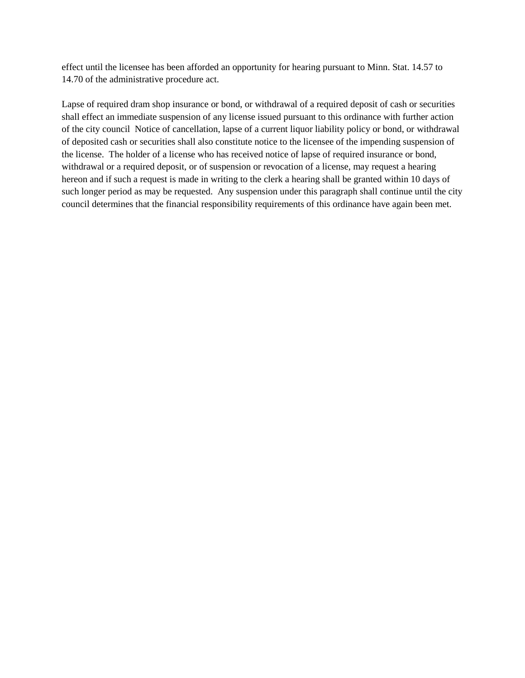effect until the licensee has been afforded an opportunity for hearing pursuant to Minn. Stat. 14.57 to 14.70 of the administrative procedure act.

Lapse of required dram shop insurance or bond, or withdrawal of a required deposit of cash or securities shall effect an immediate suspension of any license issued pursuant to this ordinance with further action of the city council Notice of cancellation, lapse of a current liquor liability policy or bond, or withdrawal of deposited cash or securities shall also constitute notice to the licensee of the impending suspension of the license. The holder of a license who has received notice of lapse of required insurance or bond, withdrawal or a required deposit, or of suspension or revocation of a license, may request a hearing hereon and if such a request is made in writing to the clerk a hearing shall be granted within 10 days of such longer period as may be requested. Any suspension under this paragraph shall continue until the city council determines that the financial responsibility requirements of this ordinance have again been met.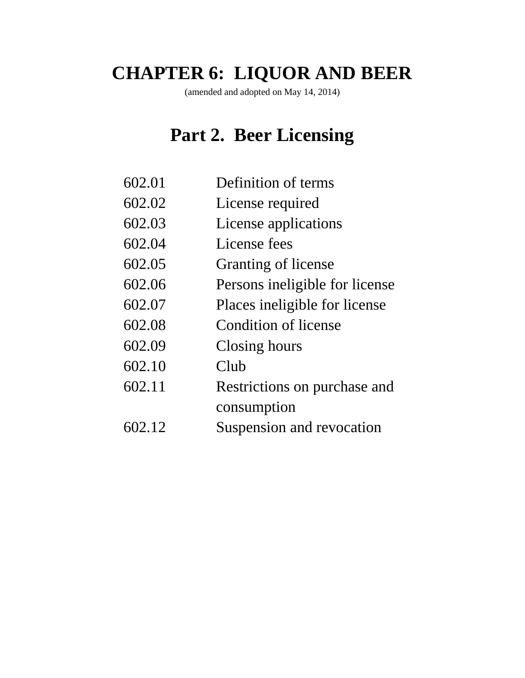# **CHAPTER 6: LIQUOR AND BEER**

(amended and adopted on May 14, 2014)

# **Part 2. Beer Licensing**

- 602.01 Definition of terms
- 602.02 License required
- 602.03 License applications
- 602.04 License fees
- 602.05 Granting of license
- 602.06 Persons ineligible for license
- 602.07 Places ineligible for license
- 602.08 Condition of license
- 602.09 Closing hours
- 602.10 Club
- 602.11 Restrictions on purchase and consumption
- 602.12 Suspension and revocation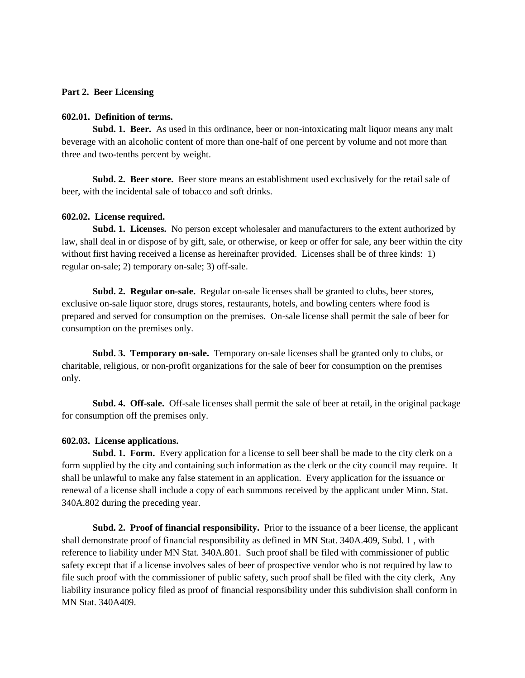### **Part 2. Beer Licensing**

#### **602.01. Definition of terms.**

**Subd. 1. Beer.** As used in this ordinance, beer or non-intoxicating malt liquor means any malt beverage with an alcoholic content of more than one-half of one percent by volume and not more than three and two-tenths percent by weight.

**Subd. 2. Beer store.** Beer store means an establishment used exclusively for the retail sale of beer, with the incidental sale of tobacco and soft drinks.

#### **602.02. License required.**

**Subd. 1. Licenses.** No person except wholesaler and manufacturers to the extent authorized by law, shall deal in or dispose of by gift, sale, or otherwise, or keep or offer for sale, any beer within the city without first having received a license as hereinafter provided. Licenses shall be of three kinds: 1) regular on-sale; 2) temporary on-sale; 3) off-sale.

**Subd. 2. Regular on-sale.** Regular on-sale licenses shall be granted to clubs, beer stores, exclusive on-sale liquor store, drugs stores, restaurants, hotels, and bowling centers where food is prepared and served for consumption on the premises. On-sale license shall permit the sale of beer for consumption on the premises only.

**Subd. 3. Temporary on-sale.** Temporary on-sale licenses shall be granted only to clubs, or charitable, religious, or non-profit organizations for the sale of beer for consumption on the premises only.

**Subd. 4. Off-sale.** Off-sale licenses shall permit the sale of beer at retail, in the original package for consumption off the premises only.

#### **602.03. License applications.**

**Subd. 1. Form.** Every application for a license to sell beer shall be made to the city clerk on a form supplied by the city and containing such information as the clerk or the city council may require. It shall be unlawful to make any false statement in an application. Every application for the issuance or renewal of a license shall include a copy of each summons received by the applicant under Minn. Stat. 340A.802 during the preceding year.

**Subd. 2. Proof of financial responsibility.** Prior to the issuance of a beer license, the applicant shall demonstrate proof of financial responsibility as defined in MN Stat. 340A.409, Subd. 1 , with reference to liability under MN Stat. 340A.801. Such proof shall be filed with commissioner of public safety except that if a license involves sales of beer of prospective vendor who is not required by law to file such proof with the commissioner of public safety, such proof shall be filed with the city clerk, Any liability insurance policy filed as proof of financial responsibility under this subdivision shall conform in MN Stat. 340A409.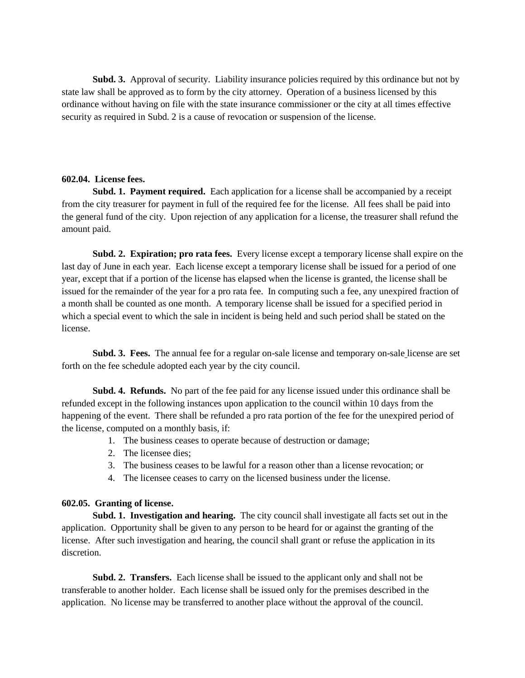**Subd. 3.** Approval of security. Liability insurance policies required by this ordinance but not by state law shall be approved as to form by the city attorney. Operation of a business licensed by this ordinance without having on file with the state insurance commissioner or the city at all times effective security as required in Subd. 2 is a cause of revocation or suspension of the license.

# **602.04. License fees.**

Subd. 1. Payment required. Each application for a license shall be accompanied by a receipt from the city treasurer for payment in full of the required fee for the license. All fees shall be paid into the general fund of the city. Upon rejection of any application for a license, the treasurer shall refund the amount paid.

**Subd. 2. Expiration; pro rata fees.** Every license except a temporary license shall expire on the last day of June in each year. Each license except a temporary license shall be issued for a period of one year, except that if a portion of the license has elapsed when the license is granted, the license shall be issued for the remainder of the year for a pro rata fee. In computing such a fee, any unexpired fraction of a month shall be counted as one month. A temporary license shall be issued for a specified period in which a special event to which the sale in incident is being held and such period shall be stated on the license.

**Subd. 3. Fees.** The annual fee for a regular on-sale license and temporary on-sale license are set forth on the fee schedule adopted each year by the city council.

**Subd. 4. Refunds.** No part of the fee paid for any license issued under this ordinance shall be refunded except in the following instances upon application to the council within 10 days from the happening of the event. There shall be refunded a pro rata portion of the fee for the unexpired period of the license, computed on a monthly basis, if:

- 1. The business ceases to operate because of destruction or damage;
- 2. The licensee dies;
- 3. The business ceases to be lawful for a reason other than a license revocation; or
- 4. The licensee ceases to carry on the licensed business under the license.

# **602.05. Granting of license.**

**Subd. 1. Investigation and hearing.** The city council shall investigate all facts set out in the application. Opportunity shall be given to any person to be heard for or against the granting of the license. After such investigation and hearing, the council shall grant or refuse the application in its discretion.

**Subd. 2. Transfers.** Each license shall be issued to the applicant only and shall not be transferable to another holder. Each license shall be issued only for the premises described in the application. No license may be transferred to another place without the approval of the council.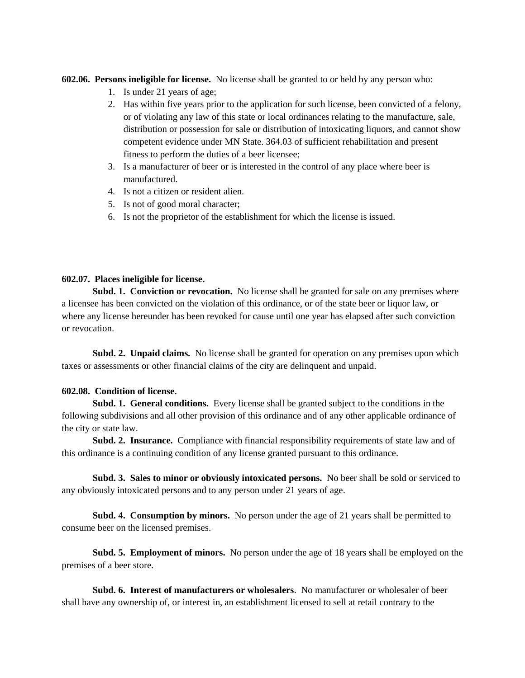**602.06. Persons ineligible for license.** No license shall be granted to or held by any person who:

- 1. Is under 21 years of age;
- 2. Has within five years prior to the application for such license, been convicted of a felony, or of violating any law of this state or local ordinances relating to the manufacture, sale, distribution or possession for sale or distribution of intoxicating liquors, and cannot show competent evidence under MN State. 364.03 of sufficient rehabilitation and present fitness to perform the duties of a beer licensee;
- 3. Is a manufacturer of beer or is interested in the control of any place where beer is manufactured.
- 4. Is not a citizen or resident alien.
- 5. Is not of good moral character;
- 6. Is not the proprietor of the establishment for which the license is issued.

# **602.07. Places ineligible for license.**

Subd. 1. Conviction or revocation. No license shall be granted for sale on any premises where a licensee has been convicted on the violation of this ordinance, or of the state beer or liquor law, or where any license hereunder has been revoked for cause until one year has elapsed after such conviction or revocation.

**Subd. 2. Unpaid claims.** No license shall be granted for operation on any premises upon which taxes or assessments or other financial claims of the city are delinquent and unpaid.

### **602.08. Condition of license.**

**Subd. 1. General conditions.** Every license shall be granted subject to the conditions in the following subdivisions and all other provision of this ordinance and of any other applicable ordinance of the city or state law.

**Subd. 2. Insurance.** Compliance with financial responsibility requirements of state law and of this ordinance is a continuing condition of any license granted pursuant to this ordinance.

**Subd. 3. Sales to minor or obviously intoxicated persons.** No beer shall be sold or serviced to any obviously intoxicated persons and to any person under 21 years of age.

**Subd. 4. Consumption by minors.** No person under the age of 21 years shall be permitted to consume beer on the licensed premises.

**Subd. 5. Employment of minors.** No person under the age of 18 years shall be employed on the premises of a beer store.

**Subd. 6. Interest of manufacturers or wholesalers**. No manufacturer or wholesaler of beer shall have any ownership of, or interest in, an establishment licensed to sell at retail contrary to the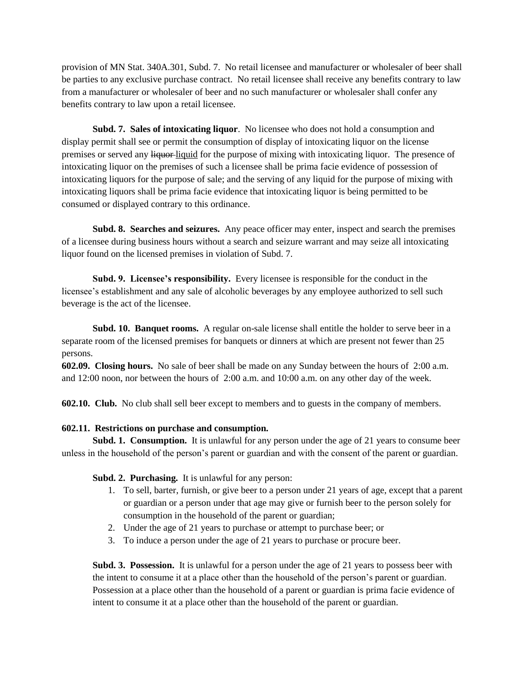provision of MN Stat. 340A.301, Subd. 7. No retail licensee and manufacturer or wholesaler of beer shall be parties to any exclusive purchase contract. No retail licensee shall receive any benefits contrary to law from a manufacturer or wholesaler of beer and no such manufacturer or wholesaler shall confer any benefits contrary to law upon a retail licensee.

**Subd. 7. Sales of intoxicating liquor**. No licensee who does not hold a consumption and display permit shall see or permit the consumption of display of intoxicating liquor on the license premises or served any liquor liquid for the purpose of mixing with intoxicating liquor. The presence of intoxicating liquor on the premises of such a licensee shall be prima facie evidence of possession of intoxicating liquors for the purpose of sale; and the serving of any liquid for the purpose of mixing with intoxicating liquors shall be prima facie evidence that intoxicating liquor is being permitted to be consumed or displayed contrary to this ordinance.

**Subd. 8. Searches and seizures.** Any peace officer may enter, inspect and search the premises of a licensee during business hours without a search and seizure warrant and may seize all intoxicating liquor found on the licensed premises in violation of Subd. 7.

**Subd. 9. Licensee's responsibility.** Every licensee is responsible for the conduct in the licensee's establishment and any sale of alcoholic beverages by any employee authorized to sell such beverage is the act of the licensee.

**Subd. 10. Banquet rooms.** A regular on-sale license shall entitle the holder to serve beer in a separate room of the licensed premises for banquets or dinners at which are present not fewer than 25 persons.

**602.09. Closing hours.** No sale of beer shall be made on any Sunday between the hours of 2:00 a.m. and 12:00 noon, nor between the hours of 2:00 a.m. and 10:00 a.m. on any other day of the week.

**602.10. Club.** No club shall sell beer except to members and to guests in the company of members.

# **602.11. Restrictions on purchase and consumption.**

**Subd. 1. Consumption.** It is unlawful for any person under the age of 21 years to consume beer unless in the household of the person's parent or guardian and with the consent of the parent or guardian.

**Subd. 2. Purchasing.** It is unlawful for any person:

- 1. To sell, barter, furnish, or give beer to a person under 21 years of age, except that a parent or guardian or a person under that age may give or furnish beer to the person solely for consumption in the household of the parent or guardian;
- 2. Under the age of 21 years to purchase or attempt to purchase beer; or
- 3. To induce a person under the age of 21 years to purchase or procure beer.

**Subd. 3. Possession.** It is unlawful for a person under the age of 21 years to possess beer with the intent to consume it at a place other than the household of the person's parent or guardian. Possession at a place other than the household of a parent or guardian is prima facie evidence of intent to consume it at a place other than the household of the parent or guardian.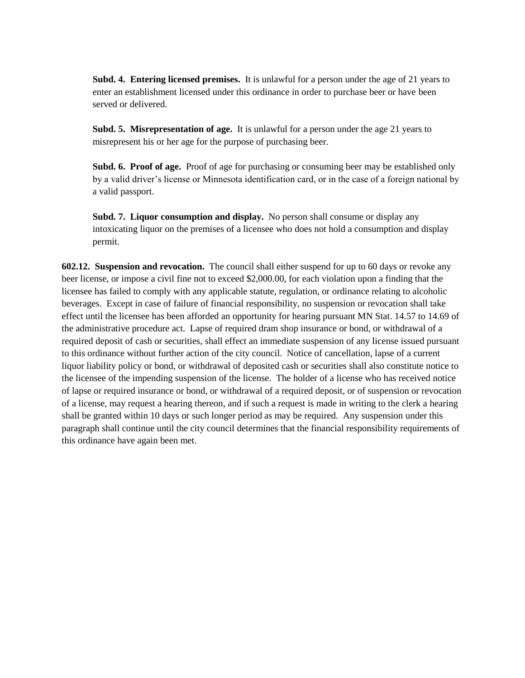**Subd. 4. Entering licensed premises.** It is unlawful for a person under the age of 21 years to enter an establishment licensed under this ordinance in order to purchase beer or have been served or delivered.

**Subd. 5. Misrepresentation of age.** It is unlawful for a person under the age 21 years to misrepresent his or her age for the purpose of purchasing beer.

**Subd. 6. Proof of age.** Proof of age for purchasing or consuming beer may be established only by a valid driver's license or Minnesota identification card, or in the case of a foreign national by a valid passport.

**Subd. 7. Liquor consumption and display.** No person shall consume or display any intoxicating liquor on the premises of a licensee who does not hold a consumption and display permit.

**602.12. Suspension and revocation.** The council shall either suspend for up to 60 days or revoke any beer license, or impose a civil fine not to exceed \$2,000.00, for each violation upon a finding that the licensee has failed to comply with any applicable statute, regulation, or ordinance relating to alcoholic beverages. Except in case of failure of financial responsibility, no suspension or revocation shall take effect until the licensee has been afforded an opportunity for hearing pursuant MN Stat. 14.57 to 14.69 of the administrative procedure act. Lapse of required dram shop insurance or bond, or withdrawal of a required deposit of cash or securities, shall effect an immediate suspension of any license issued pursuant to this ordinance without further action of the city council. Notice of cancellation, lapse of a current liquor liability policy or bond, or withdrawal of deposited cash or securities shall also constitute notice to the licensee of the impending suspension of the license. The holder of a license who has received notice of lapse or required insurance or bond, or withdrawal of a required deposit, or of suspension or revocation of a license, may request a hearing thereon, and if such a request is made in writing to the clerk a hearing shall be granted within 10 days or such longer period as may be required. Any suspension under this paragraph shall continue until the city council determines that the financial responsibility requirements of this ordinance have again been met.